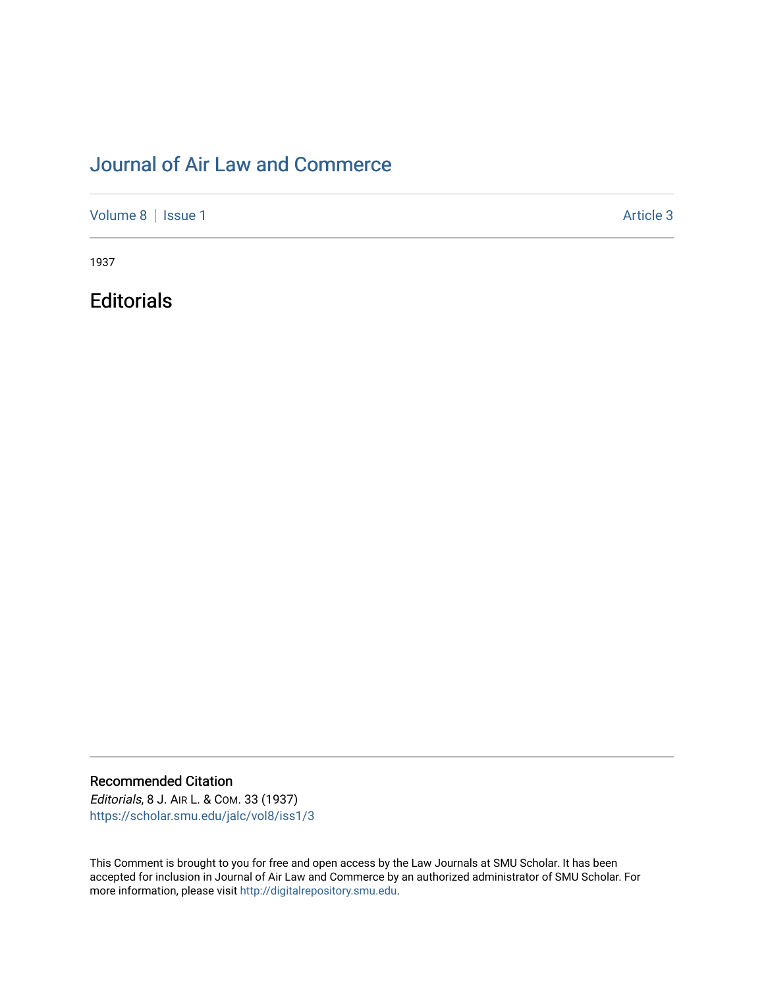## [Journal of Air Law and Commerce](https://scholar.smu.edu/jalc)

[Volume 8](https://scholar.smu.edu/jalc/vol8) | [Issue 1](https://scholar.smu.edu/jalc/vol8/iss1) Article 3

1937

**Editorials** 

Recommended Citation

Editorials, 8 J. AIR L. & COM. 33 (1937) [https://scholar.smu.edu/jalc/vol8/iss1/3](https://scholar.smu.edu/jalc/vol8/iss1/3?utm_source=scholar.smu.edu%2Fjalc%2Fvol8%2Fiss1%2F3&utm_medium=PDF&utm_campaign=PDFCoverPages)

This Comment is brought to you for free and open access by the Law Journals at SMU Scholar. It has been accepted for inclusion in Journal of Air Law and Commerce by an authorized administrator of SMU Scholar. For more information, please visit [http://digitalrepository.smu.edu](http://digitalrepository.smu.edu/).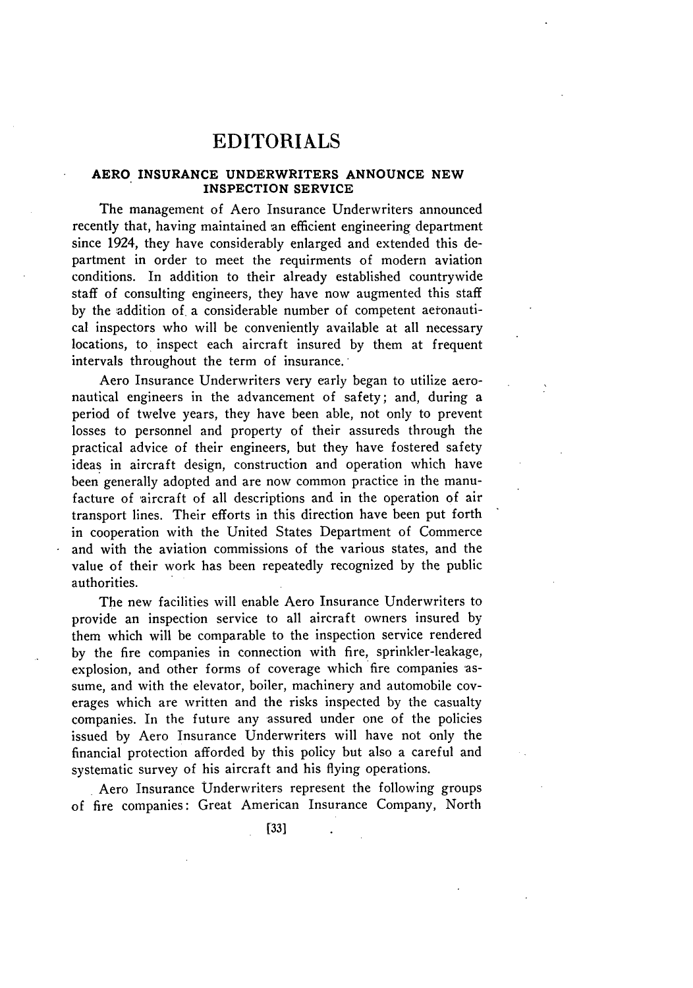## EDITORIALS

## **AERO INSURANCE UNDERWRITERS ANNOUNCE NEW INSPECTION SERVICE**

The management of Aero Insurance Underwriters announced recently that, having maintained an efficient engineering department since 1924, they have considerably enlarged and extended this department in order to meet the requirments of modern aviation conditions. In addition to their already established countrywide staff of consulting engineers, they have now augmented this staff by the addition of. a considerable number of competent aeronautical inspectors who will be conveniently available at all necessary locations, to inspect each aircraft insured by them at frequent intervals throughout the term of insurance.

Aero Insurance Underwriters very early began to utilize aeronautical engineers in the advancement of safety; and, during a period of twelve years, they have been able, not only to prevent losses to personnel and property of their assureds through the practical advice of their engineers, but they have fostered safety ideas in aircraft design, construction and operation which have been generally adopted and are now common practice in the manufacture of aircraft of all descriptions and in the operation of air transport lines. Their efforts in this direction have been put forth in cooperation with the United States Department of Commerce and with the aviation commissions of the various states, and the value of their work has been repeatedly recognized by the public authorities.

The new facilities will enable Aero Insurance Underwriters to provide an inspection service to all aircraft owners insured by them which will be comparable to the inspection service rendered by the fire companies in connection with fire, sprinkler-leakage, explosion, and other forms of coverage which fire companies 'assume, and with the elevator, boiler, machinery and automobile **cov**erages which are written and the risks inspected by the casualty companies. In the future any assured under one of the policies issued by Aero Insurance Underwriters will have not only the financial protection afforded by this policy but also a careful and systematic survey of his aircraft and his flying operations.

Aero Insurance Underwriters represent the following groups of fire companies: Great American Insurance Company, North